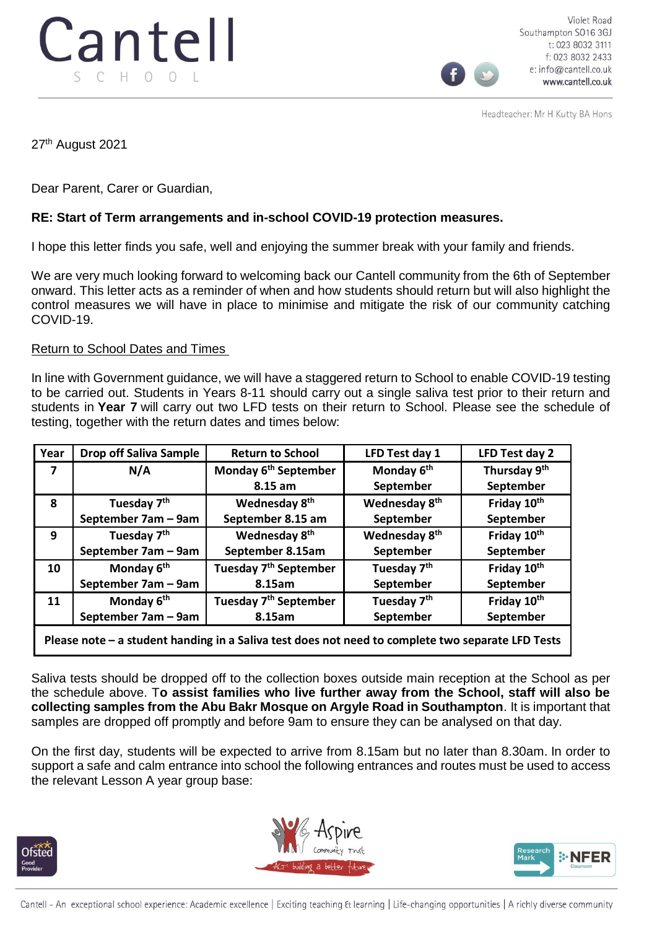

Violet Road Southampton SO16 3GJ t: 023 8032 3111 f: 023 8032 2433 e: info@cantell.co.uk www.cantell.co.uk

Headteacher: Mr H Kutty BA Hons

27<sup>th</sup> August 2021

Dear Parent, Carer or Guardian,

## **RE: Start of Term arrangements and in-school COVID-19 protection measures.**

I hope this letter finds you safe, well and enjoying the summer break with your family and friends.

We are very much looking forward to welcoming back our Cantell community from the 6th of September onward. This letter acts as a reminder of when and how students should return but will also highlight the control measures we will have in place to minimise and mitigate the risk of our community catching COVID-19.

## Return to School Dates and Times

In line with Government guidance, we will have a staggered return to School to enable COVID-19 testing to be carried out. Students in Years 8-11 should carry out a single saliva test prior to their return and students in **Year 7** will carry out two LFD tests on their return to School. Please see the schedule of testing, together with the return dates and times below:

| Year                                                                                            | <b>Drop off Saliva Sample</b> | <b>Return to School</b>           | LFD Test day 1            | LFD Test day 2          |
|-------------------------------------------------------------------------------------------------|-------------------------------|-----------------------------------|---------------------------|-------------------------|
| 7                                                                                               | N/A                           | Monday 6 <sup>th</sup> September  | Monday 6 <sup>th</sup>    | Thursday 9th            |
|                                                                                                 |                               | 8.15 am                           | September                 | September               |
| 8                                                                                               | Tuesday 7 <sup>th</sup>       | Wednesday 8 <sup>th</sup>         | Wednesday 8 <sup>th</sup> | Friday 10 <sup>th</sup> |
|                                                                                                 | September 7am - 9am           | September 8.15 am                 | September                 | September               |
| 9                                                                                               | Tuesday 7 <sup>th</sup>       | Wednesday 8 <sup>th</sup>         | Wednesday 8 <sup>th</sup> | Friday 10th             |
|                                                                                                 | September 7am - 9am           | September 8.15am                  | September                 | September               |
| 10                                                                                              | Monday 6 <sup>th</sup>        | Tuesday 7 <sup>th</sup> September | Tuesday 7 <sup>th</sup>   | Friday 10th             |
|                                                                                                 | September 7am - 9am           | 8.15am                            | September                 | September               |
| 11                                                                                              | Monday 6 <sup>th</sup>        | Tuesday 7 <sup>th</sup> September | Tuesday 7 <sup>th</sup>   | Friday 10th             |
|                                                                                                 | September 7am - 9am           | 8.15am                            | September                 | September               |
| Disconsider the chudout honding in a Colivator does not need to complete two conquete LED Torte |                               |                                   |                           |                         |

**Please note – a student handing in a Saliva test does not need to complete two separate LFD Tests**

Saliva tests should be dropped off to the collection boxes outside main reception at the School as per the schedule above. T**o assist families who live further away from the School, staff will also be collecting samples from the Abu Bakr Mosque on Argyle Road in Southampton**. It is important that samples are dropped off promptly and before 9am to ensure they can be analysed on that day.

On the first day, students will be expected to arrive from 8.15am but no later than 8.30am. In order to support a safe and calm entrance into school the following entrances and routes must be used to access the relevant Lesson A year group base:





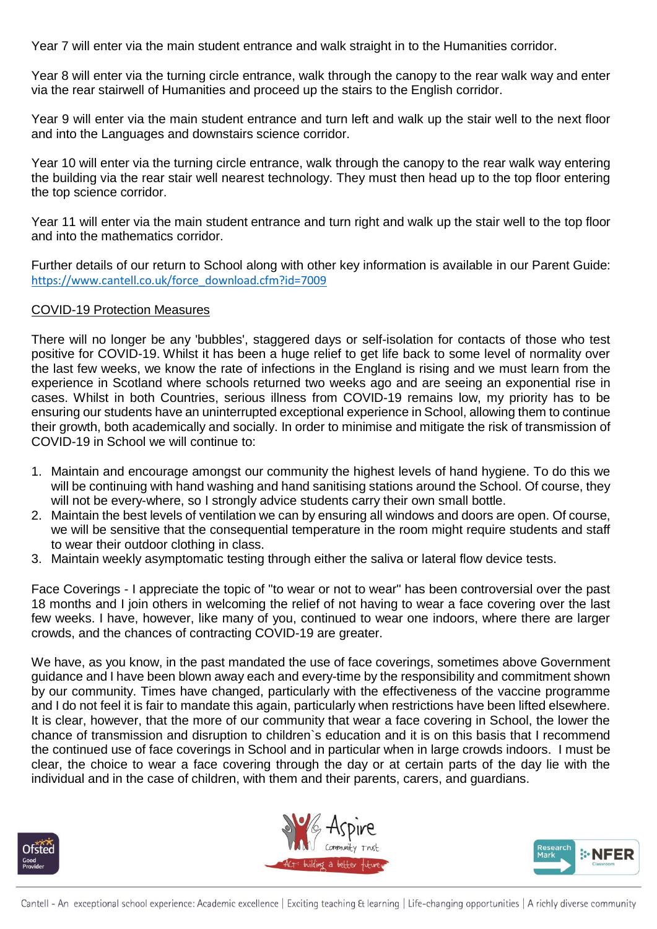Year 7 will enter via the main student entrance and walk straight in to the Humanities corridor.

Year 8 will enter via the turning circle entrance, walk through the canopy to the rear walk way and enter via the rear stairwell of Humanities and proceed up the stairs to the English corridor.

Year 9 will enter via the main student entrance and turn left and walk up the stair well to the next floor and into the Languages and downstairs science corridor.

Year 10 will enter via the turning circle entrance, walk through the canopy to the rear walk way entering the building via the rear stair well nearest technology. They must then head up to the top floor entering the top science corridor.

Year 11 will enter via the main student entrance and turn right and walk up the stair well to the top floor and into the mathematics corridor.

Further details of our return to School along with other key information is available in our Parent Guide: [https://www.cantell.co.uk/force\\_download.cfm?id=7009](https://www.cantell.co.uk/force_download.cfm?id=7009)

## COVID-19 Protection Measures

There will no longer be any 'bubbles', staggered days or self-isolation for contacts of those who test positive for COVID-19. Whilst it has been a huge relief to get life back to some level of normality over the last few weeks, we know the rate of infections in the England is rising and we must learn from the experience in Scotland where schools returned two weeks ago and are seeing an exponential rise in cases. Whilst in both Countries, serious illness from COVID-19 remains low, my priority has to be ensuring our students have an uninterrupted exceptional experience in School, allowing them to continue their growth, both academically and socially. In order to minimise and mitigate the risk of transmission of COVID-19 in School we will continue to:

- 1. Maintain and encourage amongst our community the highest levels of hand hygiene. To do this we will be continuing with hand washing and hand sanitising stations around the School. Of course, they will not be every-where, so I strongly advice students carry their own small bottle.
- 2. Maintain the best levels of ventilation we can by ensuring all windows and doors are open. Of course, we will be sensitive that the consequential temperature in the room might require students and staff to wear their outdoor clothing in class.
- 3. Maintain weekly asymptomatic testing through either the saliva or lateral flow device tests.

Face Coverings - I appreciate the topic of "to wear or not to wear" has been controversial over the past 18 months and I join others in welcoming the relief of not having to wear a face covering over the last few weeks. I have, however, like many of you, continued to wear one indoors, where there are larger crowds, and the chances of contracting COVID-19 are greater.

We have, as you know, in the past mandated the use of face coverings, sometimes above Government guidance and I have been blown away each and every-time by the responsibility and commitment shown by our community. Times have changed, particularly with the effectiveness of the vaccine programme and I do not feel it is fair to mandate this again, particularly when restrictions have been lifted elsewhere. It is clear, however, that the more of our community that wear a face covering in School, the lower the chance of transmission and disruption to children`s education and it is on this basis that I recommend the continued use of face coverings in School and in particular when in large crowds indoors. I must be clear, the choice to wear a face covering through the day or at certain parts of the day lie with the individual and in the case of children, with them and their parents, carers, and guardians.